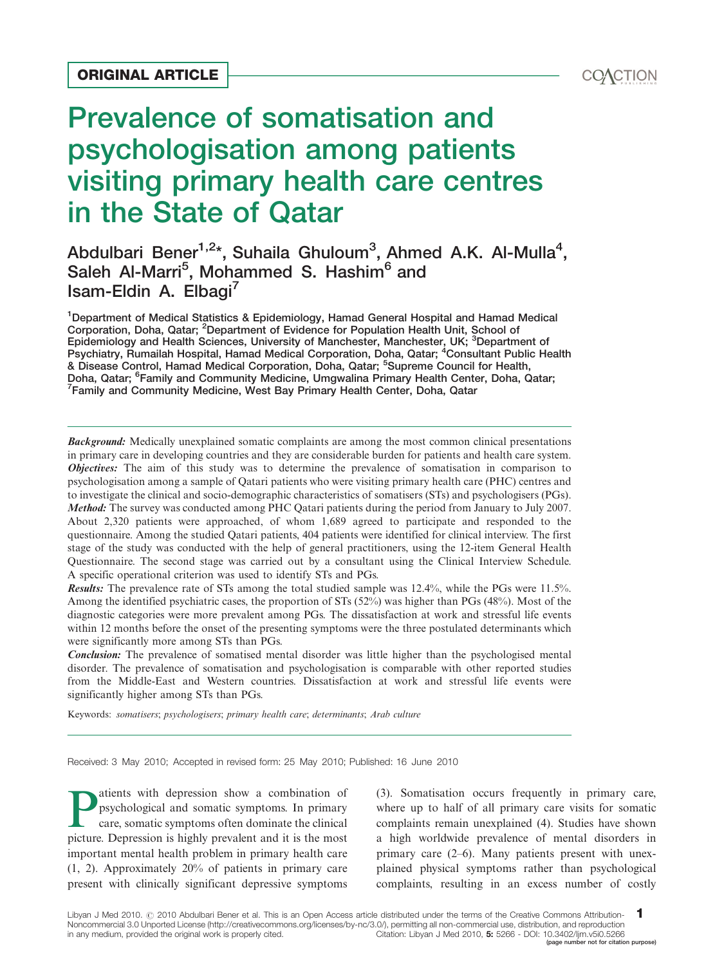# Prevalence of somatisation and psychologisation among patients visiting primary health care centres in the State of Qatar ORIGINAL ARTICLE<br>
Prevalence of somatisation and<br>
psychologisation among patients<br>
visiting primary health care centres

# Abdulbari Bener<sup>1,2\*</sup>, Suhaila Ghuloum<sup>3</sup>, Ahmed A.K. Al-Mulla<sup>4</sup>, Saleh Al-Marri<sup>5</sup>, Mohammed S. Hashim<sup>6</sup> and Isam-Eldin A. Elbagi<sup>7</sup>

<sup>1</sup>Department of Medical Statistics & Epidemiology, Hamad General Hospital and Hamad Medical Corporation, Doha, Qatar; <sup>2</sup>Department of Evidence for Population Health Unit, School of<br>Epidemiology and Health Sciences, University of Manchester, Manchester, UK; <sup>3</sup>Department of Psychiatry, Rumailah Hospital, Hamad Medical Corporation, Doha, Qatar; <sup>4</sup>Consultant Public Health & Disease Control, Hamad Medical Corporation, Doha, Qatar; <sup>5</sup>Supreme Council for Health, Doha, Qatar; <sup>6</sup>Family and Community Medicine, Umgwalina Primary Health Center, Doha, Qatar;<br><sup>7</sup>Family and Community Medicine, West Bay Primary Health Center, Doha, Qatar <sup>7</sup> Family and Community Medicine, West Bay Primary Health Center, Doha, Qatar

**Background:** Medically unexplained somatic complaints are among the most common clinical presentations in primary care in developing countries and they are considerable burden for patients and health care system. **Objectives:** The aim of this study was to determine the prevalence of somatisation in comparison to psychologisation among a sample of Qatari patients who were visiting primary health care (PHC) centres and to investigate the clinical and socio-demographic characteristics of somatisers (STs) and psychologisers (PGs). Method: The survey was conducted among PHC Qatari patients during the period from January to July 2007. About 2,320 patients were approached, of whom 1,689 agreed to participate and responded to the questionnaire. Among the studied Qatari patients, 404 patients were identified for clinical interview. The first stage of the study was conducted with the help of general practitioners, using the 12-item General Health Questionnaire. The second stage was carried out by a consultant using the Clinical Interview Schedule. A specific operational criterion was used to identify STs and PGs.

Results: The prevalence rate of STs among the total studied sample was 12.4%, while the PGs were 11.5%. Among the identified psychiatric cases, the proportion of STs (52%) was higher than PGs (48%). Most of the diagnostic categories were more prevalent among PGs. The dissatisfaction at work and stressful life events within 12 months before the onset of the presenting symptoms were the three postulated determinants which were significantly more among STs than PGs.

Conclusion: The prevalence of somatised mental disorder was little higher than the psychologised mental disorder. The prevalence of somatisation and psychologisation is comparable with other reported studies from the Middle-East and Western countries. Dissatisfaction at work and stressful life events were significantly higher among STs than PGs.

Keywords: somatisers; psychologisers; primary health care; determinants; Arab culture

Received: 3 May 2010; Accepted in revised form: 25 May 2010; Published: 16 June 2010

**Patients with depression show a combination of** psychological and somatic symptoms. In primary care, somatic symptoms often dominate the clinical nicture. Depression is highly provelent and it is the most psychological and somatic symptoms. In primary picture. Depression is highly prevalent and it is the most important mental health problem in primary health care (1, 2). Approximately 20% of patients in primary care present with clinically significant depressive symptoms (3). Somatisation occurs frequently in primary care, where up to half of all primary care visits for somatic complaints remain unexplained (4). Studies have shown a high worldwide prevalence of mental disorders in primary care  $(2-6)$ . Many patients present with unexplained physical symptoms rather than psychological complaints, resulting in an excess number of costly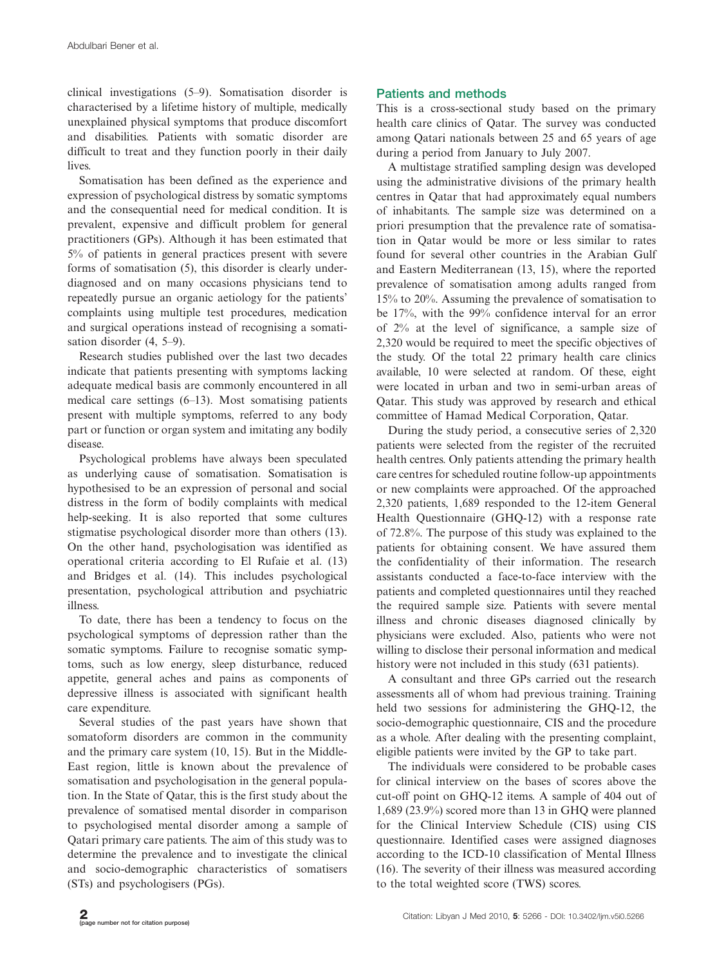clinical investigations (59). Somatisation disorder is characterised by a lifetime history of multiple, medically unexplained physical symptoms that produce discomfort and disabilities. Patients with somatic disorder are difficult to treat and they function poorly in their daily lives.

Somatisation has been defined as the experience and expression of psychological distress by somatic symptoms and the consequential need for medical condition. It is prevalent, expensive and difficult problem for general practitioners (GPs). Although it has been estimated that 5% of patients in general practices present with severe forms of somatisation (5), this disorder is clearly underdiagnosed and on many occasions physicians tend to repeatedly pursue an organic aetiology for the patients' complaints using multiple test procedures, medication and surgical operations instead of recognising a somatisation disorder  $(4, 5-9)$ .

Research studies published over the last two decades indicate that patients presenting with symptoms lacking adequate medical basis are commonly encountered in all medical care settings  $(6-13)$ . Most somatising patients present with multiple symptoms, referred to any body part or function or organ system and imitating any bodily disease.

Psychological problems have always been speculated as underlying cause of somatisation. Somatisation is hypothesised to be an expression of personal and social distress in the form of bodily complaints with medical help-seeking. It is also reported that some cultures stigmatise psychological disorder more than others (13). On the other hand, psychologisation was identified as operational criteria according to El Rufaie et al. (13) and Bridges et al. (14). This includes psychological presentation, psychological attribution and psychiatric illness.

To date, there has been a tendency to focus on the psychological symptoms of depression rather than the somatic symptoms. Failure to recognise somatic symptoms, such as low energy, sleep disturbance, reduced appetite, general aches and pains as components of depressive illness is associated with significant health care expenditure.

Several studies of the past years have shown that somatoform disorders are common in the community and the primary care system (10, 15). But in the Middle-East region, little is known about the prevalence of somatisation and psychologisation in the general population. In the State of Qatar, this is the first study about the prevalence of somatised mental disorder in comparison to psychologised mental disorder among a sample of Qatari primary care patients. The aim of this study was to determine the prevalence and to investigate the clinical and socio-demographic characteristics of somatisers (STs) and psychologisers (PGs).

## Patients and methods

This is a cross-sectional study based on the primary health care clinics of Qatar. The survey was conducted among Qatari nationals between 25 and 65 years of age during a period from January to July 2007.

A multistage stratified sampling design was developed using the administrative divisions of the primary health centres in Qatar that had approximately equal numbers of inhabitants. The sample size was determined on a priori presumption that the prevalence rate of somatisation in Qatar would be more or less similar to rates found for several other countries in the Arabian Gulf and Eastern Mediterranean (13, 15), where the reported prevalence of somatisation among adults ranged from 15% to 20%. Assuming the prevalence of somatisation to be 17%, with the 99% confidence interval for an error of 2% at the level of significance, a sample size of 2,320 would be required to meet the specific objectives of the study. Of the total 22 primary health care clinics available, 10 were selected at random. Of these, eight were located in urban and two in semi-urban areas of Qatar. This study was approved by research and ethical committee of Hamad Medical Corporation, Qatar.

During the study period, a consecutive series of 2,320 patients were selected from the register of the recruited health centres. Only patients attending the primary health care centres for scheduled routine follow-up appointments or new complaints were approached. Of the approached 2,320 patients, 1,689 responded to the 12-item General Health Questionnaire (GHQ-12) with a response rate of 72.8%. The purpose of this study was explained to the patients for obtaining consent. We have assured them the confidentiality of their information. The research assistants conducted a face-to-face interview with the patients and completed questionnaires until they reached the required sample size. Patients with severe mental illness and chronic diseases diagnosed clinically by physicians were excluded. Also, patients who were not willing to disclose their personal information and medical history were not included in this study (631 patients).

A consultant and three GPs carried out the research assessments all of whom had previous training. Training held two sessions for administering the GHQ-12, the socio-demographic questionnaire, CIS and the procedure as a whole. After dealing with the presenting complaint, eligible patients were invited by the GP to take part.

The individuals were considered to be probable cases for clinical interview on the bases of scores above the cut-off point on GHQ-12 items. A sample of 404 out of 1,689 (23.9%) scored more than 13 in GHQ were planned for the Clinical Interview Schedule (CIS) using CIS questionnaire. Identified cases were assigned diagnoses according to the ICD-10 classification of Mental Illness (16). The severity of their illness was measured according to the total weighted score (TWS) scores.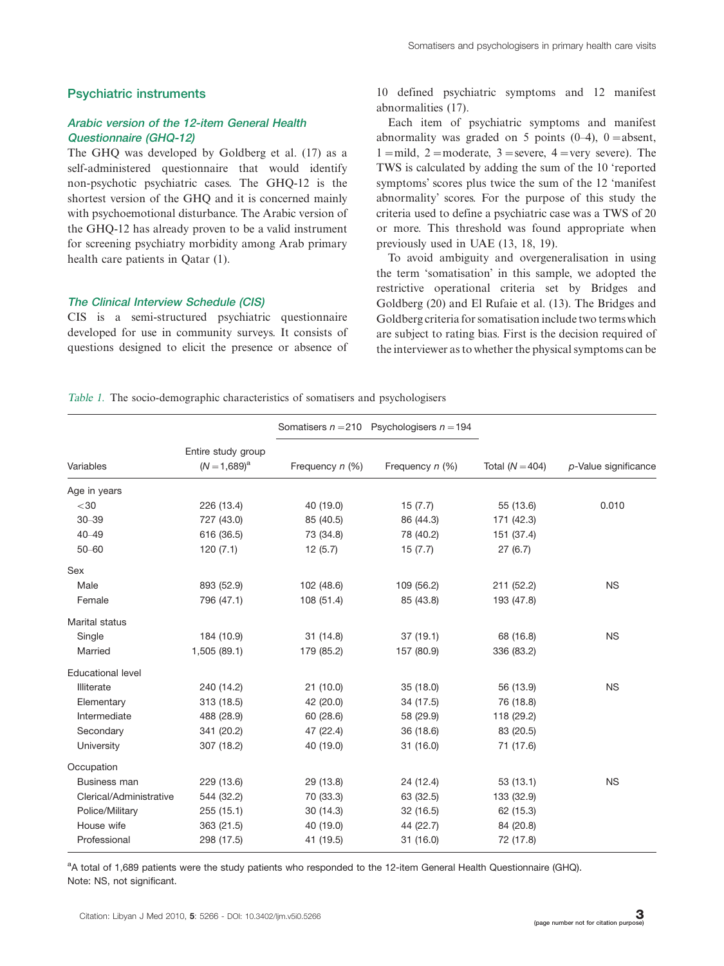### Psychiatric instruments

### Arabic version of the 12-item General Health Questionnaire (GHQ-12)

The GHQ was developed by Goldberg et al. (17) as a self-administered questionnaire that would identify non-psychotic psychiatric cases. The GHQ-12 is the shortest version of the GHQ and it is concerned mainly with psychoemotional disturbance. The Arabic version of the GHQ-12 has already proven to be a valid instrument for screening psychiatry morbidity among Arab primary health care patients in Qatar (1).

### The Clinical Interview Schedule (CIS)

CIS is a semi-structured psychiatric questionnaire developed for use in community surveys. It consists of questions designed to elicit the presence or absence of 10 defined psychiatric symptoms and 12 manifest abnormalities (17).

| Each item of psychiatric symptoms and manifest             |
|------------------------------------------------------------|
| abnormality was graded on 5 points $(0-4)$ , 0 = absent,   |
| 1 = mild, 2 = moderate, 3 = severe, 4 = very severe). The  |
| TWS is calculated by adding the sum of the 10 'reported    |
| symptoms' scores plus twice the sum of the 12 'manifest    |
| abnormality' scores. For the purpose of this study the     |
| criteria used to define a psychiatric case was a TWS of 20 |
| or more. This threshold was found appropriate when         |
| previously used in UAE (13, 18, 19).                       |

To avoid ambiguity and overgeneralisation in using the term 'somatisation' in this sample, we adopted the restrictive operational criteria set by Bridges and Goldberg (20) and El Rufaie et al. (13). The Bridges and Goldberg criteria for somatisation include two termswhich are subject to rating bias. First is the decision required of the interviewer as to whether the physical symptoms can be

Table 1. The socio-demographic characteristics of somatisers and psychologisers

|                          |                                     |                 | Somatisers $n = 210$ Psychologisers $n = 194$ |                   |                      |
|--------------------------|-------------------------------------|-----------------|-----------------------------------------------|-------------------|----------------------|
| Variables                | Entire study group<br>$(N=1,689)^a$ | Frequency n (%) | Frequency n (%)                               | Total $(N = 404)$ | p-Value significance |
|                          |                                     |                 |                                               |                   |                      |
| Age in years             |                                     |                 |                                               |                   |                      |
| $<$ 30                   | 226 (13.4)                          | 40 (19.0)       | 15(7.7)                                       | 55 (13.6)         | 0.010                |
| $30 - 39$                | 727 (43.0)                          | 85 (40.5)       | 86 (44.3)                                     | 171 (42.3)        |                      |
| $40 - 49$                | 616 (36.5)                          | 73 (34.8)       | 78 (40.2)                                     | 151 (37.4)        |                      |
| $50 - 60$                | 120(7.1)                            | 12(5.7)         | 15(7.7)                                       | 27(6.7)           |                      |
| Sex                      |                                     |                 |                                               |                   |                      |
| Male                     | 893 (52.9)                          | 102 (48.6)      | 109 (56.2)                                    | 211 (52.2)        | <b>NS</b>            |
| Female                   | 796 (47.1)                          | 108 (51.4)      | 85 (43.8)                                     | 193 (47.8)        |                      |
| <b>Marital status</b>    |                                     |                 |                                               |                   |                      |
| Single                   | 184 (10.9)                          | 31(14.8)        | 37(19.1)                                      | 68 (16.8)         | <b>NS</b>            |
| Married                  | 1,505 (89.1)                        | 179 (85.2)      | 157 (80.9)                                    | 336 (83.2)        |                      |
| <b>Educational level</b> |                                     |                 |                                               |                   |                      |
| Illiterate               | 240 (14.2)                          | 21(10.0)        | 35 (18.0)                                     | 56 (13.9)         | <b>NS</b>            |
| Elementary               | 313 (18.5)                          | 42 (20.0)       | 34 (17.5)                                     | 76 (18.8)         |                      |
| Intermediate             | 488 (28.9)                          | 60 (28.6)       | 58 (29.9)                                     | 118 (29.2)        |                      |
| Secondary                | 341 (20.2)                          | 47 (22.4)       | 36 (18.6)                                     | 83 (20.5)         |                      |
| University               | 307 (18.2)                          | 40 (19.0)       | 31(16.0)                                      | 71 (17.6)         |                      |
| Occupation               |                                     |                 |                                               |                   |                      |
| Business man             | 229 (13.6)                          | 29 (13.8)       | 24 (12.4)                                     | 53(13.1)          | <b>NS</b>            |
| Clerical/Administrative  | 544 (32.2)                          | 70 (33.3)       | 63 (32.5)                                     | 133 (32.9)        |                      |
| Police/Military          | 255(15.1)                           | 30(14.3)        | 32(16.5)                                      | 62 (15.3)         |                      |
| House wife               | 363 (21.5)                          | 40 (19.0)       | 44 (22.7)                                     | 84 (20.8)         |                      |
| Professional             | 298 (17.5)                          | 41 (19.5)       | 31(16.0)                                      | 72 (17.8)         |                      |

<sup>a</sup>A total of 1,689 patients were the study patients who responded to the 12-item General Health Questionnaire (GHQ). Note: NS, not significant.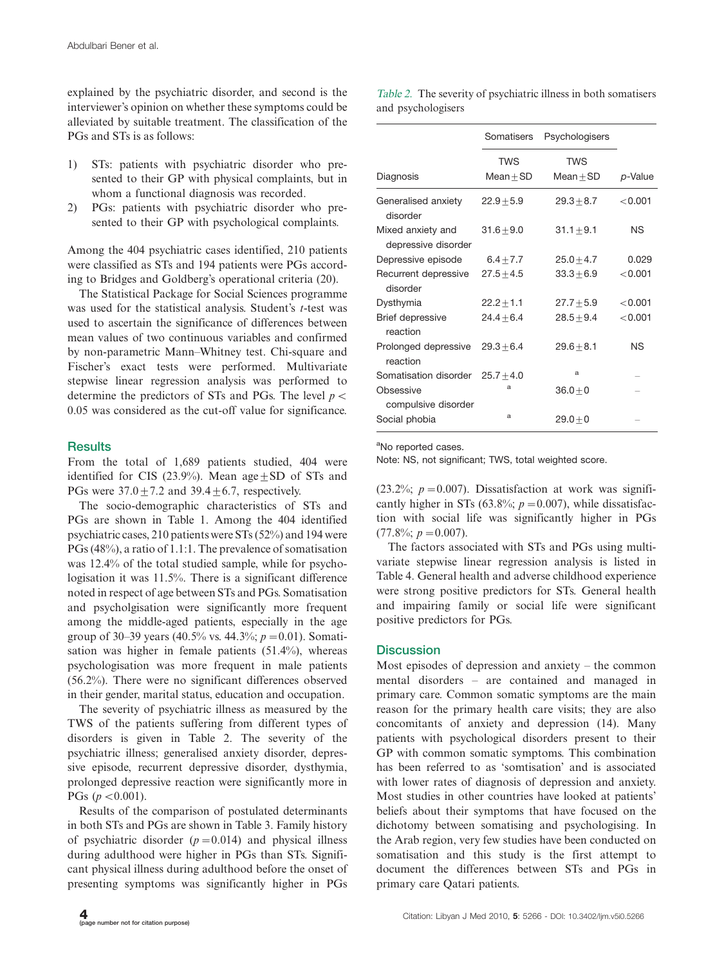explained by the psychiatric disorder, and second is the interviewer's opinion on whether these symptoms could be alleviated by suitable treatment. The classification of the PGs and STs is as follows:

- 1) STs: patients with psychiatric disorder who presented to their GP with physical complaints, but in whom a functional diagnosis was recorded.
- 2) PGs: patients with psychiatric disorder who presented to their GP with psychological complaints.

Among the 404 psychiatric cases identified, 210 patients were classified as STs and 194 patients were PGs according to Bridges and Goldberg's operational criteria (20).

The Statistical Package for Social Sciences programme was used for the statistical analysis. Student's  $t$ -test was used to ascertain the significance of differences between mean values of two continuous variables and confirmed by non-parametric Mann-Whitney test. Chi-square and Fischer's exact tests were performed. Multivariate stepwise linear regression analysis was performed to determine the predictors of STs and PGs. The level  $p \leq$ 0.05 was considered as the cut-off value for significance.

### **Results**

From the total of 1,689 patients studied, 404 were identified for CIS (23.9%). Mean age  $\pm$  SD of STs and PGs were  $37.0+7.2$  and  $39.4+6.7$ , respectively.

The socio-demographic characteristics of STs and PGs are shown in Table 1. Among the 404 identified psychiatric cases, 210 patients were STs (52%) and 194 were PGs (48%), a ratio of 1.1:1. The prevalence of somatisation was 12.4% of the total studied sample, while for psychologisation it was 11.5%. There is a significant difference noted in respect of age between STs and PGs. Somatisation and psycholgisation were significantly more frequent among the middle-aged patients, especially in the age group of 30–39 years (40.5% vs. 44.3%;  $p = 0.01$ ). Somatisation was higher in female patients (51.4%), whereas psychologisation was more frequent in male patients (56.2%). There were no significant differences observed in their gender, marital status, education and occupation.

The severity of psychiatric illness as measured by the TWS of the patients suffering from different types of disorders is given in Table 2. The severity of the psychiatric illness; generalised anxiety disorder, depressive episode, recurrent depressive disorder, dysthymia, prolonged depressive reaction were significantly more in PGs ( $p < 0.001$ ).

Results of the comparison of postulated determinants in both STs and PGs are shown in Table 3. Family history of psychiatric disorder  $(p=0.014)$  and physical illness during adulthood were higher in PGs than STs. Significant physical illness during adulthood before the onset of presenting symptoms was significantly higher in PGs Table <sup>2</sup>. The severity of psychiatric illness in both somatisers and psychologisers

|                                          | Somatisers                | Psychologisers     |           |
|------------------------------------------|---------------------------|--------------------|-----------|
| Diagnosis                                | <b>TWS</b><br>$Mean + SD$ | TWS<br>$Mean + SD$ | p-Value   |
| Generalised anxiety<br>disorder          | $22.9 + 5.9$              | $29.3 + 8.7$       | < 0.001   |
| Mixed anxiety and<br>depressive disorder | $31.6 + 9.0$              | $31.1 + 9.1$       | <b>NS</b> |
| Depressive episode                       | 6.4 $\pm$ 7.7             | $25.0 + 4.7$       | 0.029     |
| Recurrent depressive<br>disorder         | $27.5 + 4.5$              | $33.3 + 6.9$       | < 0.001   |
| Dysthymia                                | $22.2 + 1.1$              | $27.7 + 5.9$       | < 0.001   |
| <b>Brief depressive</b><br>reaction      | $24.4 + 6.4$              | $28.5 + 9.4$       | < 0.001   |
| Prolonged depressive<br>reaction         | $29.3 + 6.4$              | $29.6 + 8.1$       | ΝS        |
| Somatisation disorder $25.7 + 4.0$       |                           | a                  |           |
| Obsessive<br>compulsive disorder         | a                         | $36.0 + 0$         |           |
| Social phobia                            | a                         | $29.0 + 0$         |           |

<sup>a</sup>No reported cases.

Note: NS, not significant; TWS, total weighted score.

 $(23.2\%; p = 0.007)$ . Dissatisfaction at work was significantly higher in STs (63.8%;  $p = 0.007$ ), while dissatisfaction with social life was significantly higher in PGs  $(77.8\%; p = 0.007).$ 

The factors associated with STs and PGs using multivariate stepwise linear regression analysis is listed in Table 4. General health and adverse childhood experience were strong positive predictors for STs. General health and impairing family or social life were significant positive predictors for PGs.

### **Discussion**

Most episodes of depression and anxiety  $-$  the common mental disorders - are contained and managed in primary care. Common somatic symptoms are the main reason for the primary health care visits; they are also concomitants of anxiety and depression (14). Many patients with psychological disorders present to their GP with common somatic symptoms. This combination has been referred to as 'somtisation' and is associated with lower rates of diagnosis of depression and anxiety. Most studies in other countries have looked at patients' beliefs about their symptoms that have focused on the dichotomy between somatising and psychologising. In the Arab region, very few studies have been conducted on somatisation and this study is the first attempt to document the differences between STs and PGs in primary care Qatari patients.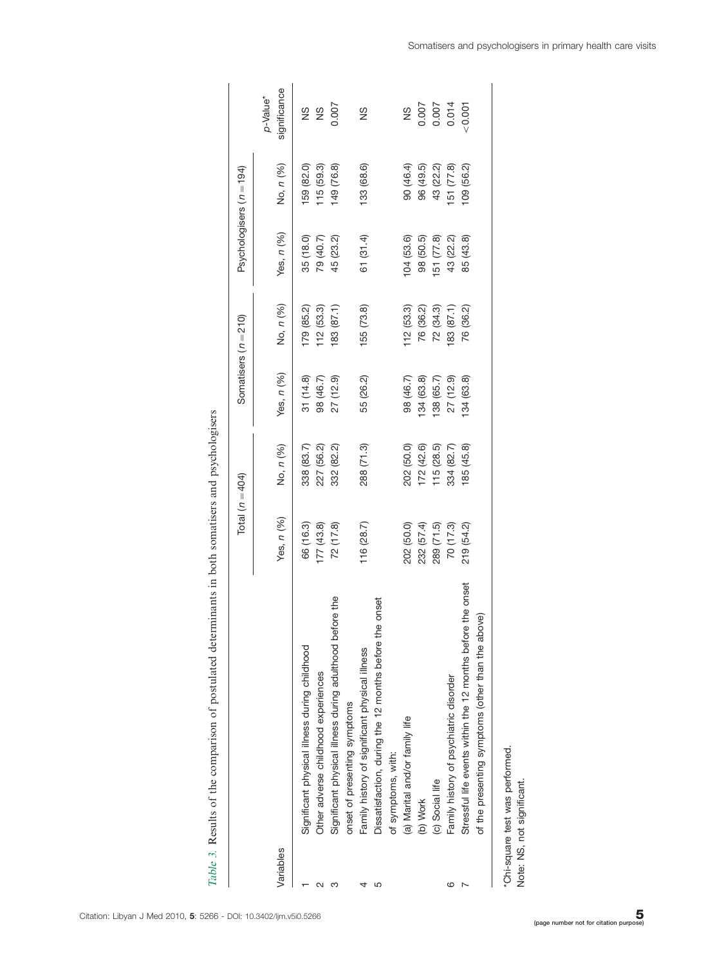|   | さく                                                                                       |
|---|------------------------------------------------------------------------------------------|
|   | ֧֧֧֧֧֧֧֧֧֧֧֧֧֧֧֛֪֧֛֪֛֛֛֪֛֚֚֚֚֚֚֚֚֚֚֚֚֚֚֚֚֚֚֚֚֚֚֚֚֚֚֚֚֚֝֝֓֝֓֝֓֝֓֝֓֝֬֝֬֝֓֝֬֝֬֝֓֝֬֝֬֝֝֝֝֝֝֝ |
|   | to in haita concernation and morale close<br>ׇ֚֘֝֬                                       |
|   | $\frac{1}{2}$                                                                            |
|   |                                                                                          |
|   |                                                                                          |
| į | $\vdots$                                                                                 |
|   |                                                                                          |
|   |                                                                                          |
|   |                                                                                          |
|   | $\frac{1}{2}$                                                                            |
|   |                                                                                          |
|   |                                                                                          |
| I | i                                                                                        |
|   |                                                                                          |
| ŀ | ā<br>i                                                                                   |

|           |                                                             | Total $(n=404)$ |            |            | Somatisers $(n = 210)$ | Psychologisers (n = 194) |            |                                      |
|-----------|-------------------------------------------------------------|-----------------|------------|------------|------------------------|--------------------------|------------|--------------------------------------|
| Variables |                                                             | Yes, n (%)      | No, n (%)  | Yes, n (%) | No, n (%)              | Yes, n (%)               | No, n (%)  | significance<br>p-Value <sup>*</sup> |
|           | Significant physical illness during childhood               | 66 (16.3)       | 338 (83.7) | 31(14.8)   | 179 (85.2)             | 35 (18.0)                | 59 (82.0)  | S                                    |
|           | Other adverse childhood experiences                         | 177(43.8)       | 227 (56.2) | 98 (46.7)  | 112(53.3)              | 79 (40.7)                | 115(59.3)  | $\frac{8}{2}$                        |
|           | Significant physical illness during adulthood before the    | 72(17.8)        | 332 (82.2) | 27 (12.9)  | 183(87.1)              | 45 (23.2)                | 149 (76.8) | 0.007                                |
|           | onset of presenting symptoms                                |                 |            |            |                        |                          |            |                                      |
|           | Family history of significant physical illness              | 116(28.7)       | 288 (71.3) | 55 (26.2)  | 155 (73.8)             | 61 (31.4)                | 133 (68.6) | $\frac{8}{2}$                        |
| 5         | onset<br>Dissatisfaction, during the 12 months before the   |                 |            |            |                        |                          |            |                                      |
|           | of symptoms, with:                                          |                 |            |            |                        |                          |            |                                      |
|           | (a) Marital and/or family life                              | 202 (50.0)      | 202 (50.0) | 98 (46.7)  | 112(53.3)              | 104(53.6)                | 90 (46.4)  | $\frac{8}{2}$                        |
|           | (b) Work                                                    | 232 (57.4)      | 172(42.6)  | 134(63.8)  | 76 (36.2)              | 98 (50.5)                | 96 (49.5)  | 0.007                                |
|           | (c) Social life                                             | 289 (71.5)      | 115(28.5)  | 38 (65.7)  | 72(34.3)               | 51 (77.8)                | 43 (22.2)  | 0.007                                |
|           | Family history of psychiatric disorder                      | 70(17.3)        | 334 (82.7) | 27 (12.9)  | 83 (87.1)              | 43 (22.2)                | 51 (77.8)  | 0.014                                |
|           | Stressful life events within the 12 months before the onset | 219 (54.2)      | 85 (45.8)  | 34 (63.8)  | 76 (36.2)              | 85 (43.8)                | 09 (56.2)  | 10001                                |
|           | of the presenting symptoms (other than the above)           |                 |            |            |                        |                          |            |                                      |
|           |                                                             |                 |            |            |                        |                          |            |                                      |

\*Chi-square test was performed.<br>Note: NS, not significant. \*Chi-square test was performed.

Note: NS, not significant.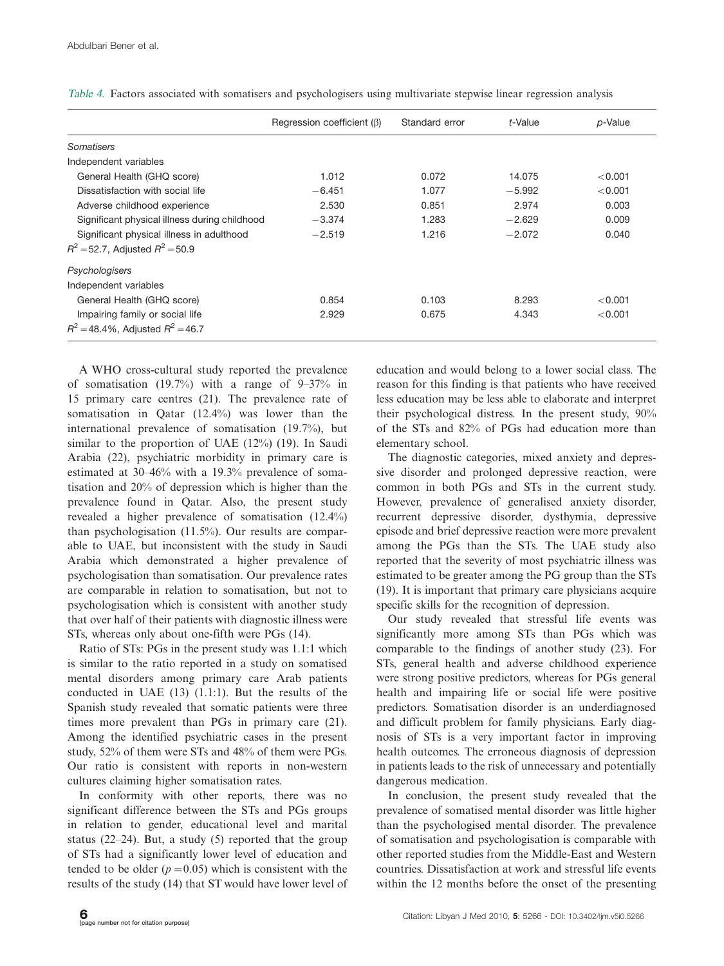|                                               | Regression coefficient $(\beta)$ | Standard error | t-Value  | p-Value |
|-----------------------------------------------|----------------------------------|----------------|----------|---------|
| Somatisers                                    |                                  |                |          |         |
| Independent variables                         |                                  |                |          |         |
| General Health (GHQ score)                    | 1.012                            | 0.072          | 14.075   | < 0.001 |
| Dissatisfaction with social life              | $-6.451$                         | 1.077          | $-5.992$ | < 0.001 |
| Adverse childhood experience                  | 2.530                            | 0.851          | 2.974    | 0.003   |
| Significant physical illness during childhood | $-3.374$                         | 1.283          | $-2.629$ | 0.009   |
| Significant physical illness in adulthood     | $-2.519$                         | 1.216          | $-2.072$ | 0.040   |
| $R^2$ = 52.7, Adjusted $R^2$ = 50.9           |                                  |                |          |         |
| Psychologisers                                |                                  |                |          |         |
| Independent variables                         |                                  |                |          |         |
| General Health (GHQ score)                    | 0.854                            | 0.103          | 8.293    | < 0.001 |
| Impairing family or social life               | 2.929                            | 0.675          | 4.343    | < 0.001 |
| $R^2 = 48.4\%$ , Adjusted $R^2 = 46.7$        |                                  |                |          |         |

Table <sup>4</sup>. Factors associated with somatisers and psychologisers using multivariate stepwise linear regression analysis

A WHO cross-cultural study reported the prevalence of somatisation (19.7%) with a range of  $9-37\%$  in 15 primary care centres (21). The prevalence rate of somatisation in Qatar (12.4%) was lower than the international prevalence of somatisation (19.7%), but similar to the proportion of UAE (12%) (19). In Saudi Arabia (22), psychiatric morbidity in primary care is estimated at 30–46% with a 19.3% prevalence of somatisation and 20% of depression which is higher than the prevalence found in Qatar. Also, the present study revealed a higher prevalence of somatisation (12.4%) than psychologisation (11.5%). Our results are comparable to UAE, but inconsistent with the study in Saudi Arabia which demonstrated a higher prevalence of psychologisation than somatisation. Our prevalence rates are comparable in relation to somatisation, but not to psychologisation which is consistent with another study that over half of their patients with diagnostic illness were STs, whereas only about one-fifth were PGs (14).

Ratio of STs: PGs in the present study was 1.1:1 which is similar to the ratio reported in a study on somatised mental disorders among primary care Arab patients conducted in UAE (13) (1.1:1). But the results of the Spanish study revealed that somatic patients were three times more prevalent than PGs in primary care (21). Among the identified psychiatric cases in the present study, 52% of them were STs and 48% of them were PGs. Our ratio is consistent with reports in non-western cultures claiming higher somatisation rates.

In conformity with other reports, there was no significant difference between the STs and PGs groups in relation to gender, educational level and marital status (22–24). But, a study (5) reported that the group of STs had a significantly lower level of education and tended to be older  $(p=0.05)$  which is consistent with the results of the study (14) that ST would have lower level of education and would belong to a lower social class. The reason for this finding is that patients who have received less education may be less able to elaborate and interpret their psychological distress. In the present study, 90% of the STs and 82% of PGs had education more than elementary school.

The diagnostic categories, mixed anxiety and depressive disorder and prolonged depressive reaction, were common in both PGs and STs in the current study. However, prevalence of generalised anxiety disorder, recurrent depressive disorder, dysthymia, depressive episode and brief depressive reaction were more prevalent among the PGs than the STs. The UAE study also reported that the severity of most psychiatric illness was estimated to be greater among the PG group than the STs (19). It is important that primary care physicians acquire specific skills for the recognition of depression.

Our study revealed that stressful life events was significantly more among STs than PGs which was comparable to the findings of another study (23). For STs, general health and adverse childhood experience were strong positive predictors, whereas for PGs general health and impairing life or social life were positive predictors. Somatisation disorder is an underdiagnosed and difficult problem for family physicians. Early diagnosis of STs is a very important factor in improving health outcomes. The erroneous diagnosis of depression in patients leads to the risk of unnecessary and potentially dangerous medication.

In conclusion, the present study revealed that the prevalence of somatised mental disorder was little higher than the psychologised mental disorder. The prevalence of somatisation and psychologisation is comparable with other reported studies from the Middle-East and Western countries. Dissatisfaction at work and stressful life events within the 12 months before the onset of the presenting